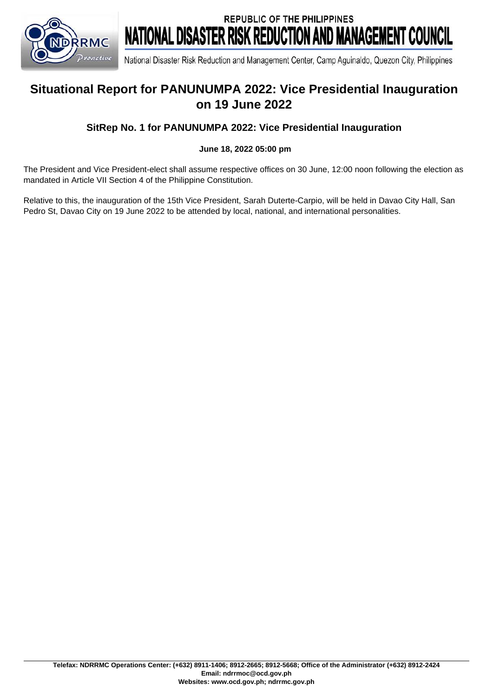

**REPUBLIC OF THE PHILIPPINES** NATIONAL DISASTER RISK REDUCTION AND MANAGEMENT COUNCIL

National Disaster Risk Reduction and Management Center, Camp Aquinaldo, Quezon City, Philippines

# **Situational Report for PANUNUMPA 2022: Vice Presidential Inauguration on 19 June 2022**

#### **SitRep No. 1 for PANUNUMPA 2022: Vice Presidential Inauguration**

#### **June 18, 2022 05:00 pm**

The President and Vice President-elect shall assume respective offices on 30 June, 12:00 noon following the election as mandated in Article VII Section 4 of the Philippine Constitution.

Relative to this, the inauguration of the 15th Vice President, Sarah Duterte-Carpio, will be held in Davao City Hall, San Pedro St, Davao City on 19 June 2022 to be attended by local, national, and international personalities.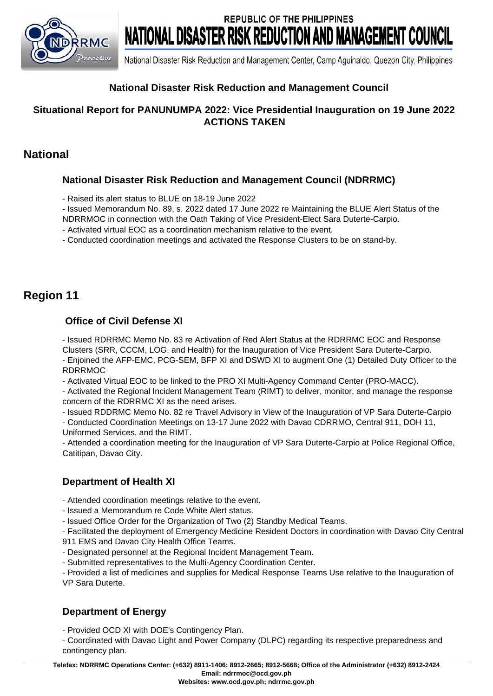

**REPUBLIC OF THE PHILIPPINES** NATIONAL DISASTER RISK REDUCTION AND MANAGEMENT COUNCIL

National Disaster Risk Reduction and Management Center, Camp Aguinaldo, Quezon City, Philippines

### **National Disaster Risk Reduction and Management Council**

#### **Situational Report for PANUNUMPA 2022: Vice Presidential Inauguration on 19 June 2022 ACTIONS TAKEN**

## **National**

#### **National Disaster Risk Reduction and Management Council (NDRRMC)**

- Raised its alert status to BLUE on 18-19 June 2022

- Issued Memorandum No. 89, s. 2022 dated 17 June 2022 re Maintaining the BLUE Alert Status of the

NDRRMOC in connection with the Oath Taking of Vice President-Elect Sara Duterte-Carpio.

- Activated virtual EOC as a coordination mechanism relative to the event.

- Conducted coordination meetings and activated the Response Clusters to be on stand-by.

# **Region 11**

### **Office of Civil Defense XI**

- Issued RDRRMC Memo No. 83 re Activation of Red Alert Status at the RDRRMC EOC and Response Clusters (SRR, CCCM, LOG, and Health) for the Inauguration of Vice President Sara Duterte-Carpio.

- Enjoined the AFP-EMC, PCG-SEM, BFP XI and DSWD XI to augment One (1) Detailed Duty Officer to the RDRRMOC

- Activated Virtual EOC to be linked to the PRO XI Multi-Agency Command Center (PRO-MACC).

- Activated the Regional Incident Management Team (RIMT) to deliver, monitor, and manage the response concern of the RDRRMC XI as the need arises.

- Issued RDDRMC Memo No. 82 re Travel Advisory in View of the Inauguration of VP Sara Duterte-Carpio

- Conducted Coordination Meetings on 13-17 June 2022 with Davao CDRRMO, Central 911, DOH 11,

Uniformed Services, and the RIMT.

- Attended a coordination meeting for the Inauguration of VP Sara Duterte-Carpio at Police Regional Office, Catitipan, Davao City.

### **Department of Health XI**

- Attended coordination meetings relative to the event.

- Issued a Memorandum re Code White Alert status.

- Issued Office Order for the Organization of Two (2) Standby Medical Teams.

- Facilitated the deployment of Emergency Medicine Resident Doctors in coordination with Davao City Central 911 EMS and Davao City Health Office Teams.

- Designated personnel at the Regional Incident Management Team.

- Submitted representatives to the Multi-Agency Coordination Center.

- Provided a list of medicines and supplies for Medical Response Teams Use relative to the Inauguration of VP Sara Duterte.

#### **Department of Energy**

- Provided OCD XI with DOE's Contingency Plan.

- Coordinated with Davao Light and Power Company (DLPC) regarding its respective preparedness and contingency plan.